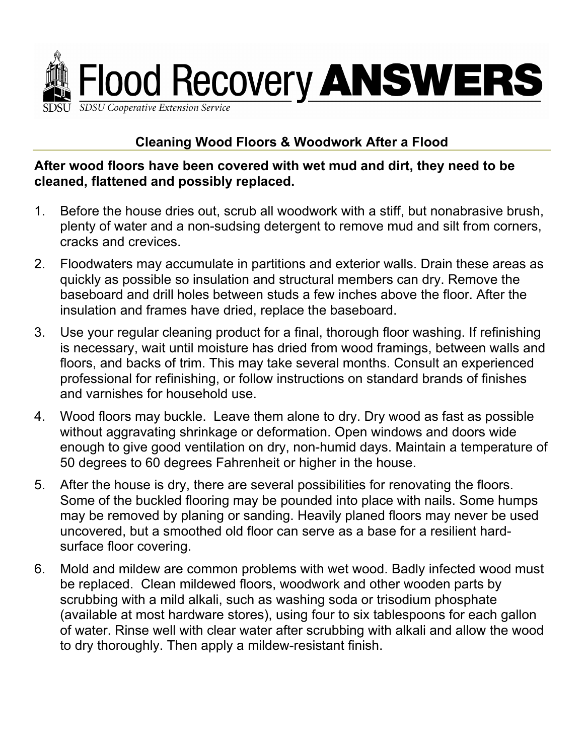

## **Cleaning Wood Floors & Woodwork After a Flood**

## **After wood floors have been covered with wet mud and dirt, they need to be cleaned, flattened and possibly replaced.**

- 1. Before the house dries out, scrub all woodwork with a stiff, but nonabrasive brush, plenty of water and a non-sudsing detergent to remove mud and silt from corners, cracks and crevices.
- 2. Floodwaters may accumulate in partitions and exterior walls. Drain these areas as quickly as possible so insulation and structural members can dry. Remove the baseboard and drill holes between studs a few inches above the floor. After the insulation and frames have dried, replace the baseboard.
- 3. Use your regular cleaning product for a final, thorough floor washing. If refinishing is necessary, wait until moisture has dried from wood framings, between walls and floors, and backs of trim. This may take several months. Consult an experienced professional for refinishing, or follow instructions on standard brands of finishes and varnishes for household use.
- 4. Wood floors may buckle. Leave them alone to dry. Dry wood as fast as possible without aggravating shrinkage or deformation. Open windows and doors wide enough to give good ventilation on dry, non-humid days. Maintain a temperature of 50 degrees to 60 degrees Fahrenheit or higher in the house.
- 5. After the house is dry, there are several possibilities for renovating the floors. Some of the buckled flooring may be pounded into place with nails. Some humps may be removed by planing or sanding. Heavily planed floors may never be used uncovered, but a smoothed old floor can serve as a base for a resilient hardsurface floor covering.
- 6. Mold and mildew are common problems with wet wood. Badly infected wood must be replaced. Clean mildewed floors, woodwork and other wooden parts by scrubbing with a mild alkali, such as washing soda or trisodium phosphate (available at most hardware stores), using four to six tablespoons for each gallon of water. Rinse well with clear water after scrubbing with alkali and allow the wood to dry thoroughly. Then apply a mildew-resistant finish.